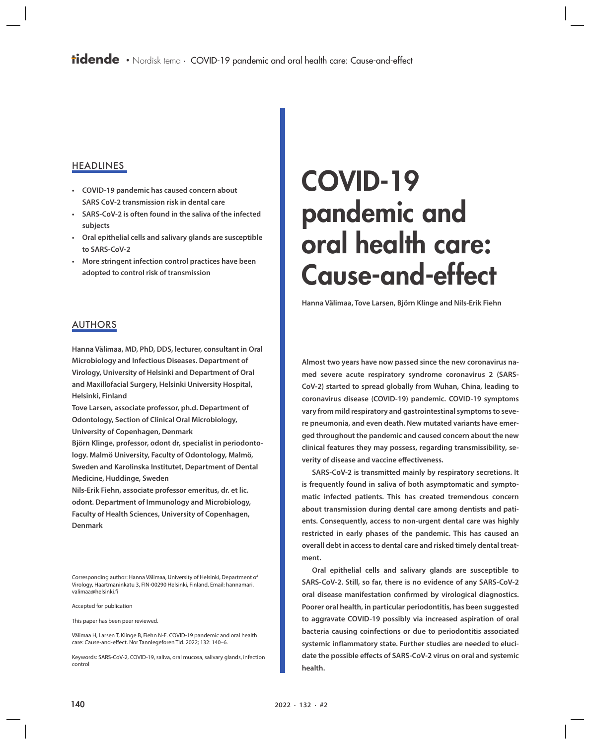## **HEADLINES**

- **• COVID-19 pandemic has caused concern about SARS CoV-2 transmission risk in dental care**
- **• SARS-CoV-2 is often found in the saliva of the infected subjects**
- **• Oral epithelial cells and salivary glands are susceptible to SARS-CoV-2**
- **• More stringent infection control practices have been adopted to control risk of transmission**

# COVID-19 pandemic and oral health care: Cause-and-effect

**Hanna Välimaa, Tove Larsen, Björn Klinge and Nils-Erik Fiehn**

## AUTHORS

**Hanna Välimaa, MD, PhD, DDS, lecturer, consultant in Oral Microbiology and Infectious Diseases. Department of Virology, University of Helsinki and Department of Oral and Maxillofacial Surgery, Helsinki University Hospital, Helsinki, Finland**

**Tove Larsen, associate professor, ph.d. Department of Odontology, Section of Clinical Oral Microbiology, University of Copenhagen, Denmark**

**Björn Klinge, professor, odont dr, specialist in periodontology. Malmö University, Faculty of Odontology, Malmö, Sweden and Karolinska Institutet, Department of Dental Medicine, Huddinge, Sweden**

**Nils-Erik Fiehn, associate professor emeritus, dr. et lic. odont. Department of Immunology and Microbiology, Faculty of Health Sciences, University of Copenhagen, Denmark**

Corresponding author: Hanna Välimaa, University of Helsinki, Department of Virology, Haartmaninkatu 3, FIN-00290 Helsinki, Finland. Email: hannamari. valimaa@helsinki.fi

Accepted for publication

This paper has been peer reviewed.

Välimaa H, Larsen T, Klinge B, Fiehn N-E. COVID-19 pandemic and oral health care: Cause-and-effect. Nor Tannlegeforen Tid. 2022; 132: 140–6.

Keywords: SARS-CoV-2, COVID-19, saliva, oral mucosa, salivary glands, infection control

**Almost two years have now passed since the new coronavirus named severe acute respiratory syndrome coronavirus 2 (SARS-CoV-2) started to spread globally from Wuhan, China, leading to coronavirus disease (COVID-19) pandemic. COVID-19 symptoms vary from mild respiratory and gastrointestinal symptoms to severe pneumonia, and even death. New mutated variants have emerged throughout the pandemic and caused concern about the new clinical features they may possess, regarding transmissibility, severity of disease and vaccine effectiveness.**

**SARS-CoV-2 is transmitted mainly by respiratory secretions. It is frequently found in saliva of both asymptomatic and symptomatic infected patients. This has created tremendous concern about transmission during dental care among dentists and patients. Consequently, access to non-urgent dental care was highly restricted in early phases of the pandemic. This has caused an overall debt in access to dental care and risked timely dental treatment.** 

**Oral epithelial cells and salivary glands are susceptible to SARS-CoV-2. Still, so far, there is no evidence of any SARS-CoV-2 oral disease manifestation confirmed by virological diagnostics. Poorer oral health, in particular periodontitis, has been suggested to aggravate COVID-19 possibly via increased aspiration of oral bacteria causing coinfections or due to periodontitis associated systemic inflammatory state. Further studies are needed to elucidate the possible effects of SARS-CoV-2 virus on oral and systemic health.**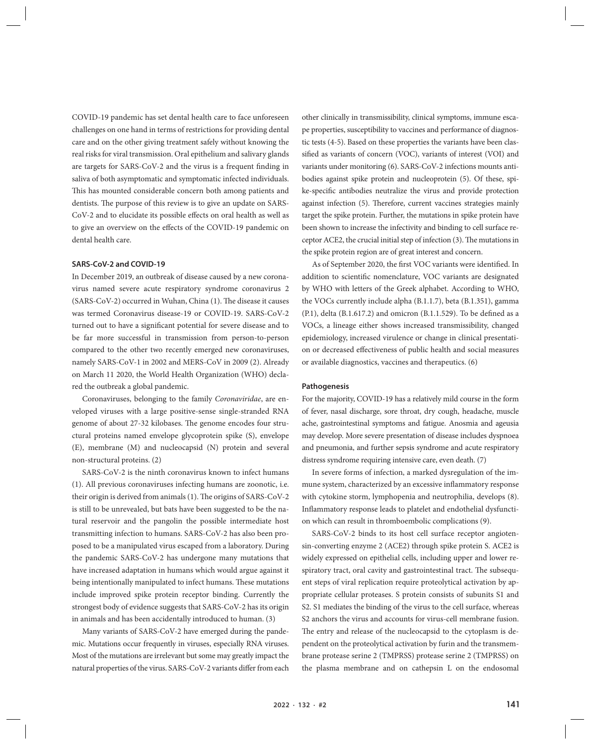COVID-19 pandemic has set dental health care to face unforeseen challenges on one hand in terms of restrictions for providing dental care and on the other giving treatment safely without knowing the real risks for viral transmission. Oral epithelium and salivary glands are targets for SARS-CoV-2 and the virus is a frequent finding in saliva of both asymptomatic and symptomatic infected individuals. This has mounted considerable concern both among patients and dentists. The purpose of this review is to give an update on SARS-CoV-2 and to elucidate its possible effects on oral health as well as to give an overview on the effects of the COVID-19 pandemic on dental health care.

#### **SARS-CoV-2 and COVID-19**

In December 2019, an outbreak of disease caused by a new coronavirus named severe acute respiratory syndrome coronavirus 2 (SARS-CoV-2) occurred in Wuhan, China (1). The disease it causes was termed Coronavirus disease-19 or COVID-19. SARS-CoV-2 turned out to have a significant potential for severe disease and to be far more successful in transmission from person-to-person compared to the other two recently emerged new coronaviruses, namely SARS-CoV-1 in 2002 and MERS-CoV in 2009 (2). Already on March 11 2020, the World Health Organization (WHO) declared the outbreak a global pandemic.

Coronaviruses, belonging to the family *Coronaviridae*, are enveloped viruses with a large positive-sense single-stranded RNA genome of about 27-32 kilobases. The genome encodes four structural proteins named envelope glycoprotein spike (S), envelope (E), membrane (M) and nucleocapsid (N) protein and several non-structural proteins. (2)

SARS-CoV-2 is the ninth coronavirus known to infect humans (1). All previous coronaviruses infecting humans are zoonotic, i.e. their origin is derived from animals (1). The origins of SARS-CoV-2 is still to be unrevealed, but bats have been suggested to be the natural reservoir and the pangolin the possible intermediate host transmitting infection to humans. SARS-CoV-2 has also been proposed to be a manipulated virus escaped from a laboratory. During the pandemic SARS-CoV-2 has undergone many mutations that have increased adaptation in humans which would argue against it being intentionally manipulated to infect humans. These mutations include improved spike protein receptor binding. Currently the strongest body of evidence suggests that SARS-CoV-2 has its origin in animals and has been accidentally introduced to human. (3)

Many variants of SARS-CoV-2 have emerged during the pandemic. Mutations occur frequently in viruses, especially RNA viruses. Most of the mutations are irrelevant but some may greatly impact the natural properties of the virus. SARS-CoV-2 variants differ from each

other clinically in transmissibility, clinical symptoms, immune escape properties, susceptibility to vaccines and performance of diagnostic tests (4-5). Based on these properties the variants have been classified as variants of concern (VOC), variants of interest (VOI) and variants under monitoring (6). SARS-CoV-2 infections mounts antibodies against spike protein and nucleoprotein (5). Of these, spike-specific antibodies neutralize the virus and provide protection against infection (5). Therefore, current vaccines strategies mainly target the spike protein. Further, the mutations in spike protein have been shown to increase the infectivity and binding to cell surface receptor ACE2, the crucial initial step of infection (3). The mutations in the spike protein region are of great interest and concern.

As of September 2020, the first VOC variants were identified. In addition to scientific nomenclature, VOC variants are designated by WHO with letters of the Greek alphabet. According to WHO, the VOCs currently include alpha (B.1.1.7), beta (B.1.351), gamma (P.1), delta (B.1.617.2) and omicron (B.1.1.529). To be defined as a VOCs, a lineage either shows increased transmissibility, changed epidemiology, increased virulence or change in clinical presentation or decreased effectiveness of public health and social measures or available diagnostics, vaccines and therapeutics. (6)

#### **Pathogenesis**

For the majority, COVID-19 has a relatively mild course in the form of fever, nasal discharge, sore throat, dry cough, headache, muscle ache, gastrointestinal symptoms and fatigue. Anosmia and ageusia may develop. More severe presentation of disease includes dyspnoea and pneumonia, and further sepsis syndrome and acute respiratory distress syndrome requiring intensive care, even death. (7)

In severe forms of infection, a marked dysregulation of the immune system, characterized by an excessive inflammatory response with cytokine storm, lymphopenia and neutrophilia, develops (8). Inflammatory response leads to platelet and endothelial dysfunction which can result in thromboembolic complications (9).

SARS-CoV-2 binds to its host cell surface receptor angiotensin-converting enzyme 2 (ACE2) through spike protein S. ACE2 is widely expressed on epithelial cells, including upper and lower respiratory tract, oral cavity and gastrointestinal tract. The subsequent steps of viral replication require proteolytical activation by appropriate cellular proteases. S protein consists of subunits S1 and S2. S1 mediates the binding of the virus to the cell surface, whereas S2 anchors the virus and accounts for virus-cell membrane fusion. The entry and release of the nucleocapsid to the cytoplasm is dependent on the proteolytical activation by furin and the transmembrane protease serine 2 (TMPRSS) protease serine 2 (TMPRSS) on the plasma membrane and on cathepsin L on the endosomal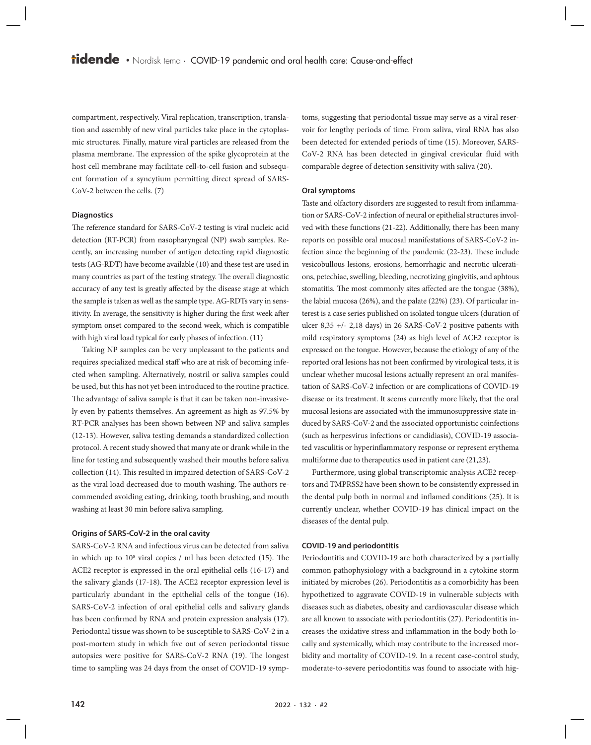compartment, respectively. Viral replication, transcription, translation and assembly of new viral particles take place in the cytoplasmic structures. Finally, mature viral particles are released from the plasma membrane. The expression of the spike glycoprotein at the host cell membrane may facilitate cell-to-cell fusion and subsequent formation of a syncytium permitting direct spread of SARS-CoV-2 between the cells. (7)

#### **Diagnostics**

The reference standard for SARS-CoV-2 testing is viral nucleic acid detection (RT-PCR) from nasopharyngeal (NP) swab samples. Recently, an increasing number of antigen detecting rapid diagnostic tests (AG-RDT) have become available (10) and these test are used in many countries as part of the testing strategy. The overall diagnostic accuracy of any test is greatly affected by the disease stage at which the sample is taken as well as the sample type. AG-RDTs vary in sensitivity. In average, the sensitivity is higher during the first week after symptom onset compared to the second week, which is compatible with high viral load typical for early phases of infection. (11)

Taking NP samples can be very unpleasant to the patients and requires specialized medical staff who are at risk of becoming infected when sampling. Alternatively, nostril or saliva samples could be used, but this has not yet been introduced to the routine practice. The advantage of saliva sample is that it can be taken non-invasively even by patients themselves. An agreement as high as 97.5% by RT-PCR analyses has been shown between NP and saliva samples (12-13). However, saliva testing demands a standardized collection protocol. A recent study showed that many ate or drank while in the line for testing and subsequently washed their mouths before saliva collection (14). This resulted in impaired detection of SARS-CoV-2 as the viral load decreased due to mouth washing. The authors recommended avoiding eating, drinking, tooth brushing, and mouth washing at least 30 min before saliva sampling.

#### **Origins of SARS-CoV-2 in the oral cavity**

SARS-CoV-2 RNA and infectious virus can be detected from saliva in which up to 10<sup>8</sup> viral copies / ml has been detected (15). The ACE2 receptor is expressed in the oral epithelial cells (16-17) and the salivary glands (17-18). The ACE2 receptor expression level is particularly abundant in the epithelial cells of the tongue (16). SARS-CoV-2 infection of oral epithelial cells and salivary glands has been confirmed by RNA and protein expression analysis (17). Periodontal tissue was shown to be susceptible to SARS-CoV-2 in a post-mortem study in which five out of seven periodontal tissue autopsies were positive for SARS-CoV-2 RNA (19). The longest time to sampling was 24 days from the onset of COVID-19 symp-

toms, suggesting that periodontal tissue may serve as a viral reservoir for lengthy periods of time. From saliva, viral RNA has also been detected for extended periods of time (15). Moreover, SARS-CoV-2 RNA has been detected in gingival crevicular fluid with comparable degree of detection sensitivity with saliva (20).

#### **Oral symptoms**

Taste and olfactory disorders are suggested to result from inflammation or SARS-CoV-2 infection of neural or epithelial structures involved with these functions (21-22). Additionally, there has been many reports on possible oral mucosal manifestations of SARS-CoV-2 infection since the beginning of the pandemic (22-23). These include vesicobullous lesions, erosions, hemorrhagic and necrotic ulcerations, petechiae, swelling, bleeding, necrotizing gingivitis, and aphtous stomatitis. The most commonly sites affected are the tongue (38%), the labial mucosa (26%), and the palate (22%) (23). Of particular interest is a case series published on isolated tongue ulcers (duration of ulcer 8,35 +/- 2,18 days) in 26 SARS-CoV-2 positive patients with mild respiratory symptoms (24) as high level of ACE2 receptor is expressed on the tongue. However, because the etiology of any of the reported oral lesions has not been confirmed by virological tests, it is unclear whether mucosal lesions actually represent an oral manifestation of SARS-CoV-2 infection or are complications of COVID-19 disease or its treatment. It seems currently more likely, that the oral mucosal lesions are associated with the immunosuppressive state induced by SARS-CoV-2 and the associated opportunistic coinfections (such as herpesvirus infections or candidiasis), COVID-19 associated vasculitis or hyperinflammatory response or represent erythema multiforme due to therapeutics used in patient care (21,23).

Furthermore, using global transcriptomic analysis ACE2 receptors and TMPRSS2 have been shown to be consistently expressed in the dental pulp both in normal and inflamed conditions (25). It is currently unclear, whether COVID-19 has clinical impact on the diseases of the dental pulp.

#### **COVID-19 and periodontitis**

Periodontitis and COVID-19 are both characterized by a partially common pathophysiology with a background in a cytokine storm initiated by microbes (26). Periodontitis as a comorbidity has been hypothetized to aggravate COVID-19 in vulnerable subjects with diseases such as diabetes, obesity and cardiovascular disease which are all known to associate with periodontitis (27). Periodontitis increases the oxidative stress and inflammation in the body both locally and systemically, which may contribute to the increased morbidity and mortality of COVID-19. In a recent case-control study, moderate-to-severe periodontitis was found to associate with hig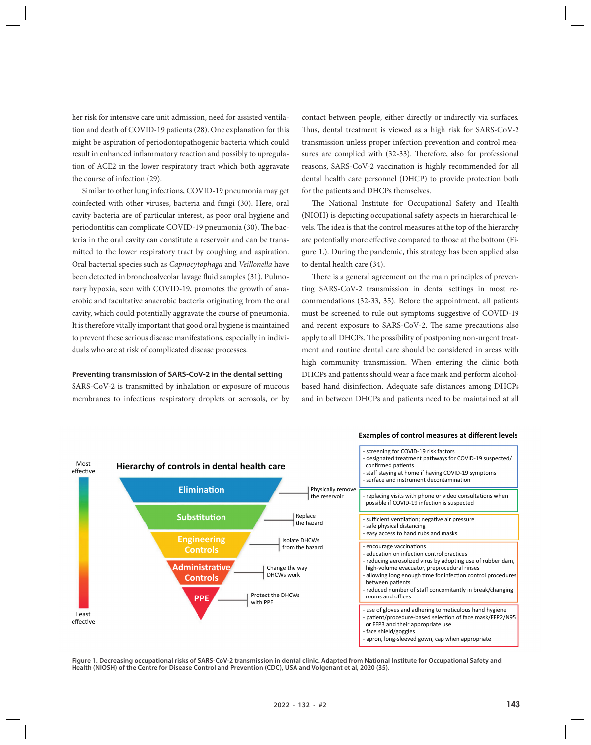her risk for intensive care unit admission, need for assisted ventilation and death of COVID-19 patients (28). One explanation for this might be aspiration of periodontopathogenic bacteria which could result in enhanced inflammatory reaction and possibly to upregulation of ACE2 in the lower respiratory tract which both aggravate the course of infection (29).

Similar to other lung infections, COVID-19 pneumonia may get coinfected with other viruses, bacteria and fungi (30). Here, oral cavity bacteria are of particular interest, as poor oral hygiene and periodontitis can complicate COVID-19 pneumonia (30). The bacteria in the oral cavity can constitute a reservoir and can be transmitted to the lower respiratory tract by coughing and aspiration. Oral bacterial species such as *Capnocytophaga* and *Veillonella* have been detected in bronchoalveolar lavage fluid samples (31). Pulmonary hypoxia, seen with COVID-19, promotes the growth of anaerobic and facultative anaerobic bacteria originating from the oral cavity, which could potentially aggravate the course of pneumonia. It is therefore vitally important that good oral hygiene is maintained to prevent these serious disease manifestations, especially in individuals who are at risk of complicated disease processes.

#### **Preventing transmission of SARS-CoV-2 in the dental setting**

SARS-CoV-2 is transmitted by inhalation or exposure of mucous membranes to infectious respiratory droplets or aerosols, or by

contact between people, either directly or indirectly via surfaces. Thus, dental treatment is viewed as a high risk for SARS-CoV-2 transmission unless proper infection prevention and control measures are complied with (32-33). Therefore, also for professional reasons, SARS-CoV-2 vaccination is highly recommended for all dental health care personnel (DHCP) to provide protection both for the patients and DHCPs themselves.

The National Institute for Occupational Safety and Health (NIOH) is depicting occupational safety aspects in hierarchical levels. The idea is that the control measures at the top of the hierarchy are potentially more effective compared to those at the bottom (Figure 1.). During the pandemic, this strategy has been applied also to dental health care (34).

There is a general agreement on the main principles of preventing SARS-CoV-2 transmission in dental settings in most recommendations (32-33, 35). Before the appointment, all patients must be screened to rule out symptoms suggestive of COVID-19 and recent exposure to SARS-CoV-2. The same precautions also apply to all DHCPs. The possibility of postponing non-urgent treatment and routine dental care should be considered in areas with high community transmission. When entering the clinic both DHCPs and patients should wear a face mask and perform alcoholbased hand disinfection. Adequate safe distances among DHCPs and in between DHCPs and patients need to be maintained at all



#### **Figure 1. Decreasing occupational risks of SARS-CoV-2 transmission in dental clinic. Adapted from National Institute for Occupational Safety and Health (NIOSH) of the Centre for Disease Control and Prevention (CDC), USA and Volgenant et al, 2020 (35).**

## **Examples of control measures at different levels**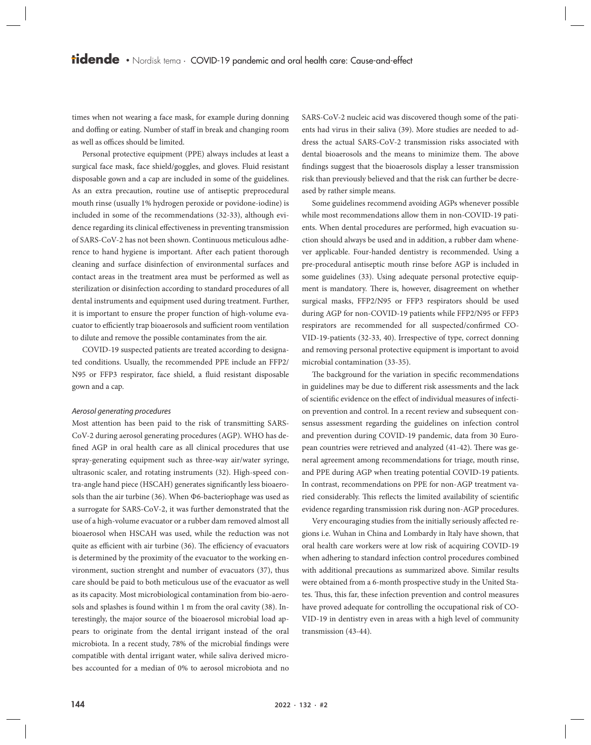times when not wearing a face mask, for example during donning and doffing or eating. Number of staff in break and changing room as well as offices should be limited.

Personal protective equipment (PPE) always includes at least a surgical face mask, face shield/goggles, and gloves. Fluid resistant disposable gown and a cap are included in some of the guidelines. As an extra precaution, routine use of antiseptic preprocedural mouth rinse (usually 1% hydrogen peroxide or povidone-iodine) is included in some of the recommendations (32-33), although evidence regarding its clinical effectiveness in preventing transmission of SARS-CoV-2 has not been shown. Continuous meticulous adherence to hand hygiene is important. After each patient thorough cleaning and surface disinfection of environmental surfaces and contact areas in the treatment area must be performed as well as sterilization or disinfection according to standard procedures of all dental instruments and equipment used during treatment. Further, it is important to ensure the proper function of high-volume evacuator to efficiently trap bioaerosols and sufficient room ventilation to dilute and remove the possible contaminates from the air.

COVID-19 suspected patients are treated according to designated conditions. Usually, the recommended PPE include an FFP2/ N95 or FFP3 respirator, face shield, a fluid resistant disposable gown and a cap.

#### *Aerosol generating procedures*

Most attention has been paid to the risk of transmitting SARS-CoV-2 during aerosol generating procedures (AGP). WHO has defined AGP in oral health care as all clinical procedures that use spray-generating equipment such as three-way air/water syringe, ultrasonic scaler, and rotating instruments (32). High-speed contra-angle hand piece (HSCAH) generates significantly less bioaerosols than the air turbine (36). When Φ6-bacteriophage was used as a surrogate for SARS-CoV-2, it was further demonstrated that the use of a high-volume evacuator or a rubber dam removed almost all bioaerosol when HSCAH was used, while the reduction was not quite as efficient with air turbine (36). The efficiency of evacuators is determined by the proximity of the evacuator to the working environment, suction strenght and number of evacuators (37), thus care should be paid to both meticulous use of the evacuator as well as its capacity. Most microbiological contamination from bio-aerosols and splashes is found within 1 m from the oral cavity (38). Interestingly, the major source of the bioaerosol microbial load appears to originate from the dental irrigant instead of the oral microbiota. In a recent study, 78% of the microbial findings were compatible with dental irrigant water, while saliva derived microbes accounted for a median of 0% to aerosol microbiota and no SARS-CoV-2 nucleic acid was discovered though some of the patients had virus in their saliva (39). More studies are needed to address the actual SARS-CoV-2 transmission risks associated with dental bioaerosols and the means to minimize them. The above findings suggest that the bioaerosols display a lesser transmission risk than previously believed and that the risk can further be decreased by rather simple means.

Some guidelines recommend avoiding AGPs whenever possible while most recommendations allow them in non-COVID-19 patients. When dental procedures are performed, high evacuation suction should always be used and in addition, a rubber dam whenever applicable. Four-handed dentistry is recommended. Using a pre-procedural antiseptic mouth rinse before AGP is included in some guidelines (33). Using adequate personal protective equipment is mandatory. There is, however, disagreement on whether surgical masks, FFP2/N95 or FFP3 respirators should be used during AGP for non-COVID-19 patients while FFP2/N95 or FFP3 respirators are recommended for all suspected/confirmed CO-VID-19-patients (32-33, 40). Irrespective of type, correct donning and removing personal protective equipment is important to avoid microbial contamination (33-35).

The background for the variation in specific recommendations in guidelines may be due to different risk assessments and the lack of scientific evidence on the effect of individual measures of infection prevention and control. In a recent review and subsequent consensus assessment regarding the guidelines on infection control and prevention during COVID-19 pandemic, data from 30 European countries were retrieved and analyzed (41-42). There was general agreement among recommendations for triage, mouth rinse, and PPE during AGP when treating potential COVID-19 patients. In contrast, recommendations on PPE for non-AGP treatment varied considerably. This reflects the limited availability of scientific evidence regarding transmission risk during non-AGP procedures.

Very encouraging studies from the initially seriously affected regions i.e. Wuhan in China and Lombardy in Italy have shown, that oral health care workers were at low risk of acquiring COVID-19 when adhering to standard infection control procedures combined with additional precautions as summarized above. Similar results were obtained from a 6-month prospective study in the United States. Thus, this far, these infection prevention and control measures have proved adequate for controlling the occupational risk of CO-VID-19 in dentistry even in areas with a high level of community transmission (43-44).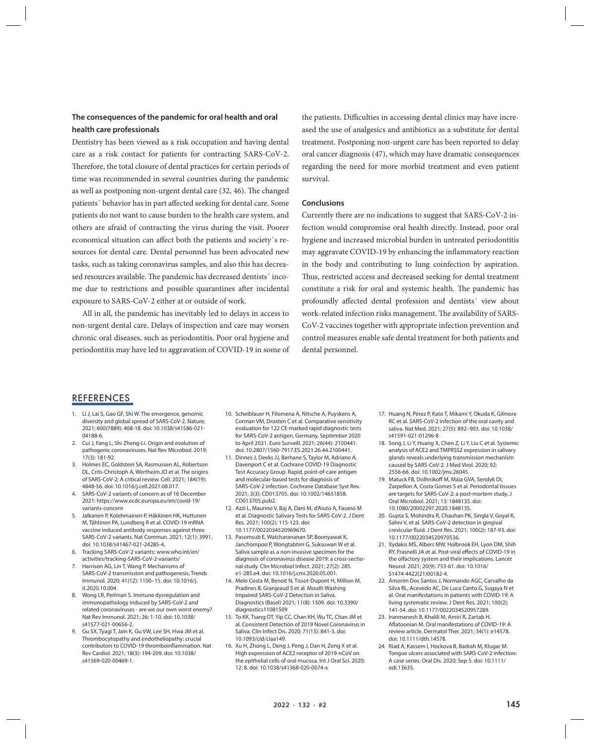## **The consequences of the pandemic for oral health and oral health care professionals**

Dentistry has been viewed as a risk occupation and having dental care as a risk contact for patients for contracting SARS-CoV-2. Therefore, the total closure of dental practices for certain periods of time was recommended in several countries during the pandemic as well as postponing non-urgent dental care (32, 46). The changed patients´ behavior has in part affected seeking for dental care. Some patients do not want to cause burden to the health care system, and others are afraid of contracting the virus during the visit. Poorer economical situation can affect both the patients and society´s resources for dental care. Dental personnel has been advocated new tasks, such as taking coronavirus samples, and also this has decreased resources available. The pandemic has decreased dentists´ income due to restrictions and possible quarantines after incidental exposure to SARS-CoV-2 either at or outside of work.

All in all, the pandemic has inevitably led to delays in access to non-urgent dental care. Delays of inspection and care may worsen chronic oral diseases, such as periodontitis. Poor oral hygiene and periodontitis may have led to aggravation of COVID-19 in some of the patients. Difficulties in accessing dental clinics may have increased the use of analgesics and antibiotics as a substitute for dental treatment. Postponing non-urgent care has been reported to delay oral cancer diagnosis (47), which may have dramatic consequences regarding the need for more morbid treatment and even patient survival.

#### **Conclusions**

Currently there are no indications to suggest that SARS-CoV-2 infection would compromise oral health directly. Instead, poor oral hygiene and increased microbial burden in untreated periodontitis may aggravate COVID-19 by enhancing the inflammatory reaction in the body and contributing to lung coinfection by aspiration. Thus, restricted access and decreased seeking for dental treatment constitute a risk for oral and systemic health. The pandemic has profoundly affected dental profession and dentists´ view about work-related infection risks management. The availability of SARS-CoV-2 vaccines together with appropriate infection prevention and control measures enable safe dental treatment for both patients and dental personnel.

## REFERENCES

- 1. Li J, Lai S, Gao GF, Shi W. The emergence, genomic diversity and global spread of SARS-CoV-2. Nature. 2021; 600(7889): 408-18. doi: 10.1038/s41586-021- 04188-6.
- 2. Cui J, Fang L, Shi Zheng-Li. Origin and evolution of pathogenic coronaviruses. Nat Rev Microbiol. 2019; 17(3): 181-92.
- 3. Holmes EC, Goldstein SA, Rasmussen AL, Robertson DL, Crits-Christoph A, Wertheim JO et al. The origins of SARS-CoV-2: A critical review. Cell. 2021; 184(19): 4848-56. doi: 10.1016/j.cell.2021.08.017.
- 4. SARS-CoV-2 variants of concern as of 16 December 2021: https://www.ecdc.europa.eu/en/covid-19/ variants-concern
- 5. Jalkanen P, Kolehmainen P, Häkkinen HK, Huttunen M, Tähtinen PA, Lundberg R et al. COVID-19 mRNA vaccine induced antibody responses against three SARS-CoV-2 variants. Nat Commun. 2021; 12(1): 3991. doi: 10.1038/s41467-021-24285-4.
- 6. Tracking SARS-CoV-2 variants: www.who.int/en/ activities/tracking-SARS-CoV-2-variants/
- Harrison AG, Lin T, Wang P. Mechanisms of SARS-CoV-2 transmission and pathogenesis. Trends Immunol. 2020; 41(12): 1100–15. doi: 10.1016/j. it.2020.10.004
- Wong LR, Perlman S. Immune dysregulation and immunopathology induced by SARS-CoV-2 and related coronaviruses - are we our own worst enemy? Nat Rev Immunol. 2021; 26: 1-10. doi: 10.1038/ s41577-021-00656-2.
- Gu SX, Tyagi T, Jain K, Gu VW, Lee SH, Hwa JM et al. Thrombocytopathy and endotheliopathy: crucial contributors to COVID-19 thromboinflammation. Nat Rev Cardiol. 2021; 18(3): 194-209. doi: 10.1038/ s41569-020-00469-1.
- 10. Scheiblauer H, Filomena A, Nitsche A, Puyskens A, Corman VM, Drosten C et al. Comparative sensitivity evaluation for 122 CE-marked rapid diagnostic tests for SARS-CoV-2 antigen, Germany, September 2020 to April 2021. Euro Surveill. 2021; 26(44): 2100441. doi: 10.2807/1560-7917.ES.2021.26.44.2100441.
- 11. Dinnes J, Deeks JJ, Berhane S, Taylor M, Adriano A, Davenport C et al. Cochrane COVID-19 Diagnostic Test Accuracy Group. Rapid, point-of-care antigen and molecular-based tests for diagnosis of SARS-CoV-2 infection. Cochrane Database Syst Rev. 2021; 3(3): CD013705. doi: 10.1002/14651858. CD013705.pub2.
- 12. Azzi L, Maurino V, Baj A, Dani M, d'Aiuto A, Fasano M et al. Diagnostic Salivary Tests for SARS-CoV-2. J Dent Res. 2021; 100(2): 115-123. doi: 10.1177/0022034520969670.
- 13. Pasomsub E, Watcharananan SP, Boonyawat K, Janchompoo P, Wongtabtim G, Suksuwan W et al. Saliva sample as a non-invasive specimen for the diagnosis of coronavirus disease 2019: a cross-sectional study. Clin Microbiol Infect. 2021; 27(2): 285. e1-285.e4. doi: 10.1016/j.cmi.2020.05.001.
- 14. Melo Costa M, Benoit N, Tissot-Dupont H, Million M, Pradines B, Granjeaud S et al. Mouth Washing Impaired SARS-CoV-2 Detection in Saliva. Diagnostics (Basel) 2021; 11(8): 1509. doi: 10.3390/ diagnostics11081509
- 15. To KK, Tsang OT, Yip CC, Chan KH, Wu TC, Chan JM et al. Consistent Detection of 2019 Novel Coronavirus in Saliva. Clin Infect Dis. 2020; 71(15): 841-3. doi: 10.1093/cid/ciaa149.
- 16. Xu H, Zhong L, Deng J, Peng J, Dan H, Zeng X et al. High expression of ACE2 receptor of 2019-nCoV on the epithelial cells of oral mucosa. Int J Oral Sci. 2020; 12: 8. doi: 10.1038/s41368-020-0074-x
- 17. Huang N, Pérez P, Kato T, Mikami Y, Okuda K, Gilmore RC et al. SARS-CoV-2 infection of the oral cavity and saliva. Nat Med. 2021; 27(5): 892–903. doi: 10.1038/ s41591-021-01296-8
- 18. Song J, Li Y, Huang X, Chen Z, Li Y, Liu C et al. Systemic analysis of ACE2 and TMPRSS2 expression in salivary glands reveals underlying transmission mechanism caused by SARS-CoV-2. J Med Virol. 2020; 92: 2556-66. doi: 10.1002/jmv.26045.
- 19. Matuck FB, Dolhnikoff M, Maia GVA, Sendyk DI, Zarpellon A, Costa Gomes S et al. Periodontal tissues are targets for SARS-CoV-2: a post-mortem study. J Oral Microbiol. 2021; 13: 1848135. doi: 10.1080/20002297.2020.1848135.
- 20. Gupta S, Mohindra R, Chauhan PK, Singla V, Goyal K, Sahni V, et al. SARS-CoV-2 detection in gingival crevicular fluid. J Dent Res. 2021; 100(2): 187-93. doi: 10.1177/0022034520970536.
- 21. Xydakis MS, Albers MW, Holbrook EH, Lyon DM, Shih RY, Frasnelli JA et al. Post-viral effects of COVID-19 in the olfactory system and their implications. Lancet Neurol. 2021; 20(9): 753-61. doi: 10.1016/ S1474-4422(21)00182-4.
- 22. Amorim Dos Santos J, Normando AGC, Carvalho da Silva RL, Acevedo AC, De Luca Canto G, Sugaya N et al. Oral manifestations in patients with COVID-19: A living systematic review. J Dent Res. 2021; 100(2): 141-54. doi: 10.1177/0022034520957289.
- 23. Iranmanesh B, Khalili M, Amiri R, Zartab H, Aflatoonian M. Oral manifestations of COVID-19: A review article. Dermatol Ther. 2021; 34(1): e14578. doi: 10.1111/dth.14578.
- 24. Riad A, Kassem I, Hockova B, Badrah M, Klugar M. Tongue ulcers associated with SARS-CoV-2 infection: A case series. Oral Dis. 2020; Sep 5. doi: 10.1111/ odi.13635.